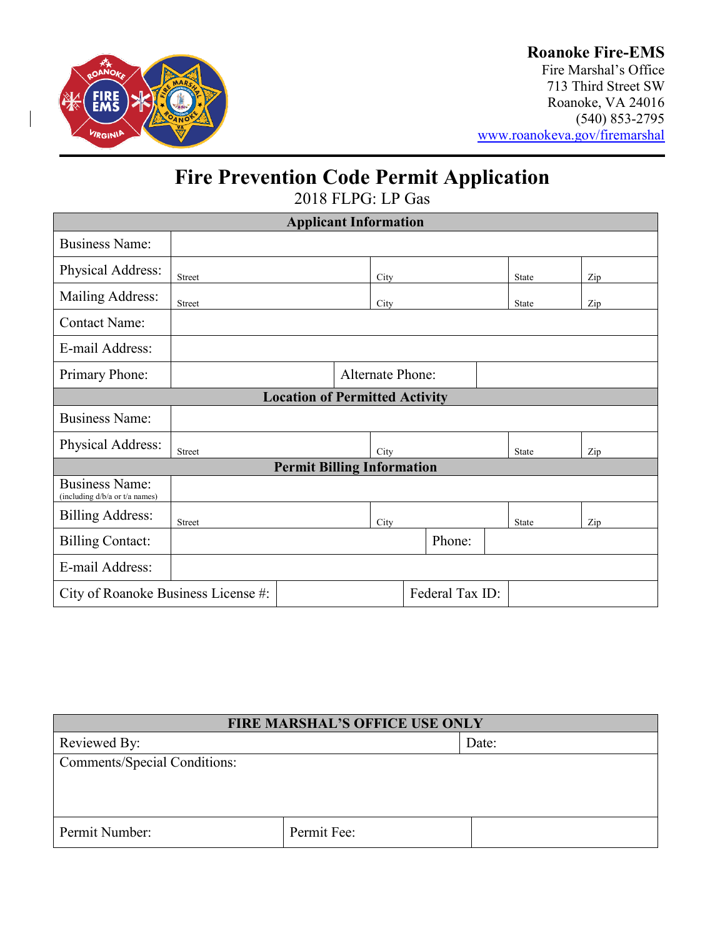

Fire Marshal's Office 713 Third Street SW Roanoke, VA 24016 (540) 853-2795 [www.roanokeva.gov/firemarshal](http://www.roanokeva.gov/firemarshal)

# **Fire Prevention Code Permit Application**

2018 FLPG: LP Gas

| <b>Applicant Information</b>                            |                         |  |      |        |  |              |  |     |
|---------------------------------------------------------|-------------------------|--|------|--------|--|--------------|--|-----|
| <b>Business Name:</b>                                   |                         |  |      |        |  |              |  |     |
| Physical Address:                                       | Street                  |  | City |        |  | <b>State</b> |  | Zip |
| Mailing Address:                                        | Street                  |  | City |        |  | State        |  | Zip |
| <b>Contact Name:</b>                                    |                         |  |      |        |  |              |  |     |
| E-mail Address:                                         |                         |  |      |        |  |              |  |     |
| Primary Phone:                                          | <b>Alternate Phone:</b> |  |      |        |  |              |  |     |
| <b>Location of Permitted Activity</b>                   |                         |  |      |        |  |              |  |     |
| <b>Business Name:</b>                                   |                         |  |      |        |  |              |  |     |
| Physical Address:                                       | <b>Street</b>           |  | City |        |  | State        |  | Zip |
| <b>Permit Billing Information</b>                       |                         |  |      |        |  |              |  |     |
| <b>Business Name:</b><br>(including d/b/a or t/a names) |                         |  |      |        |  |              |  |     |
| <b>Billing Address:</b>                                 | <b>Street</b>           |  | City |        |  | State        |  | Zip |
| <b>Billing Contact:</b>                                 |                         |  |      | Phone: |  |              |  |     |
| E-mail Address:                                         |                         |  |      |        |  |              |  |     |
| Federal Tax ID:<br>City of Roanoke Business License #:  |                         |  |      |        |  |              |  |     |

| <b>FIRE MARSHAL'S OFFICE USE ONLY</b> |             |       |  |
|---------------------------------------|-------------|-------|--|
| Reviewed By:                          |             | Date: |  |
| Comments/Special Conditions:          |             |       |  |
|                                       |             |       |  |
|                                       |             |       |  |
|                                       |             |       |  |
| Permit Number:                        | Permit Fee: |       |  |
|                                       |             |       |  |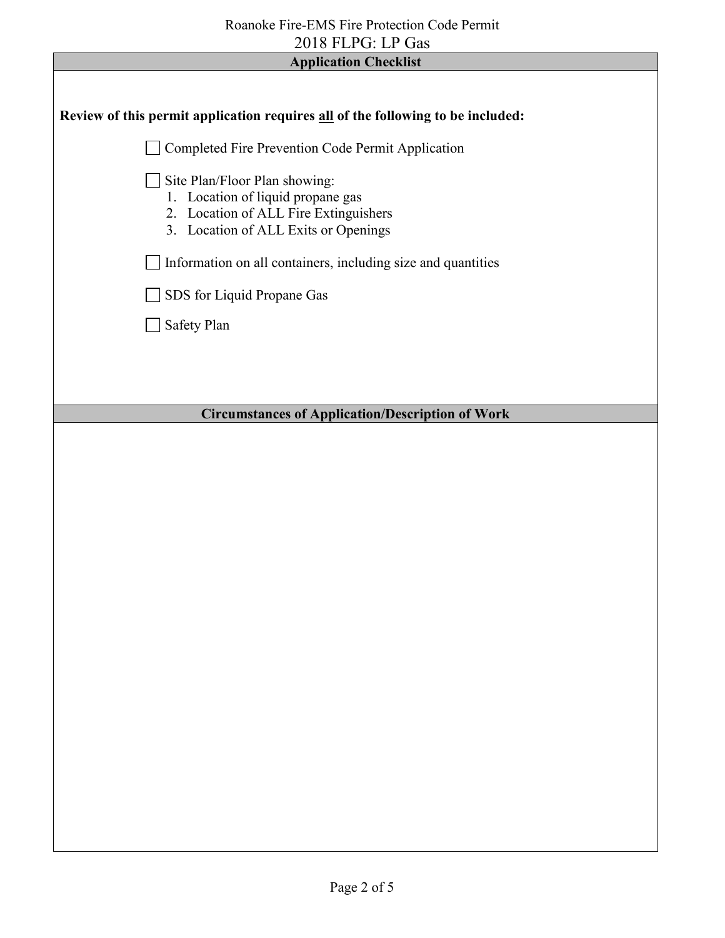| <b>Application Checklist</b>                                                                                                                        |  |  |  |
|-----------------------------------------------------------------------------------------------------------------------------------------------------|--|--|--|
|                                                                                                                                                     |  |  |  |
| Review of this permit application requires all of the following to be included:                                                                     |  |  |  |
| Completed Fire Prevention Code Permit Application                                                                                                   |  |  |  |
| Site Plan/Floor Plan showing:<br>1. Location of liquid propane gas<br>2. Location of ALL Fire Extinguishers<br>3. Location of ALL Exits or Openings |  |  |  |
| Information on all containers, including size and quantities                                                                                        |  |  |  |
| SDS for Liquid Propane Gas                                                                                                                          |  |  |  |
| Safety Plan                                                                                                                                         |  |  |  |
|                                                                                                                                                     |  |  |  |
|                                                                                                                                                     |  |  |  |
| <b>Circumstances of Application/Description of Work</b>                                                                                             |  |  |  |
|                                                                                                                                                     |  |  |  |
|                                                                                                                                                     |  |  |  |
|                                                                                                                                                     |  |  |  |
|                                                                                                                                                     |  |  |  |
|                                                                                                                                                     |  |  |  |
|                                                                                                                                                     |  |  |  |
|                                                                                                                                                     |  |  |  |
|                                                                                                                                                     |  |  |  |
|                                                                                                                                                     |  |  |  |
|                                                                                                                                                     |  |  |  |
|                                                                                                                                                     |  |  |  |
|                                                                                                                                                     |  |  |  |
|                                                                                                                                                     |  |  |  |
|                                                                                                                                                     |  |  |  |
|                                                                                                                                                     |  |  |  |
|                                                                                                                                                     |  |  |  |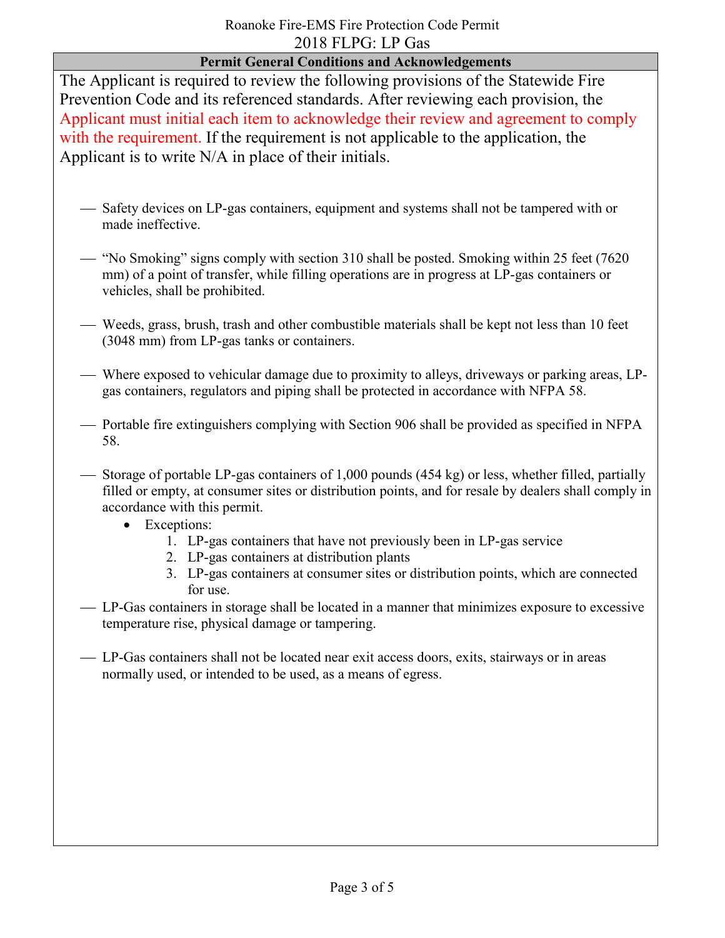### **Permit General Conditions and Acknowledgements**

The Applicant is required to review the following provisions of the Statewide Fire Prevention Code and its referenced standards. After reviewing each provision, the Applicant must initial each item to acknowledge their review and agreement to comply with the requirement. If the requirement is not applicable to the application, the Applicant is to write N/A in place of their initials.

- Safety devices on LP-gas containers, equipment and systems shall not be tampered with or made ineffective.
- "No Smoking" signs comply with section 310 shall be posted. Smoking within 25 feet (7620) mm) of a point of transfer, while filling operations are in progress at LP-gas containers or vehicles, shall be prohibited.
- Weeds, grass, brush, trash and other combustible materials shall be kept not less than 10 feet (3048 mm) from LP-gas tanks or containers.
- Where exposed to vehicular damage due to proximity to alleys, driveways or parking areas, LPgas containers, regulators and piping shall be protected in accordance with NFPA 58.
- Portable fire extinguishers complying with Section 906 shall be provided as specified in NFPA 58.
- Storage of portable LP-gas containers of 1,000 pounds (454 kg) or less, whether filled, partially filled or empty, at consumer sites or distribution points, and for resale by dealers shall comply in accordance with this permit.
	- Exceptions:
		- 1. LP-gas containers that have not previously been in LP-gas service
		- 2. LP-gas containers at distribution plants
		- 3. LP-gas containers at consumer sites or distribution points, which are connected for use.
- LP-Gas containers in storage shall be located in a manner that minimizes exposure to excessive temperature rise, physical damage or tampering.
- LP-Gas containers shall not be located near exit access doors, exits, stairways or in areas normally used, or intended to be used, as a means of egress.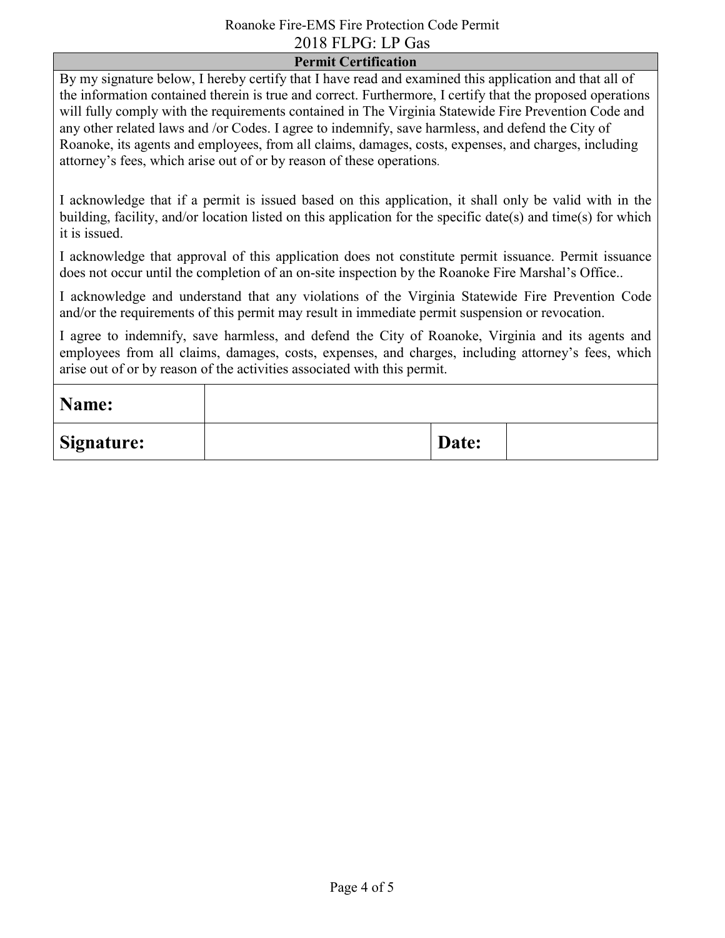### Roanoke Fire-EMS Fire Protection Code Permit 2018 FLPG: LP Gas

#### **Permit Certification**

By my signature below, I hereby certify that I have read and examined this application and that all of the information contained therein is true and correct. Furthermore, I certify that the proposed operations will fully comply with the requirements contained in The Virginia Statewide Fire Prevention Code and any other related laws and /or Codes. I agree to indemnify, save harmless, and defend the City of Roanoke, its agents and employees, from all claims, damages, costs, expenses, and charges, including attorney's fees, which arise out of or by reason of these operations.

I acknowledge that if a permit is issued based on this application, it shall only be valid with in the building, facility, and/or location listed on this application for the specific date(s) and time(s) for which it is issued.

I acknowledge that approval of this application does not constitute permit issuance. Permit issuance does not occur until the completion of an on-site inspection by the Roanoke Fire Marshal's Office..

I acknowledge and understand that any violations of the Virginia Statewide Fire Prevention Code and/or the requirements of this permit may result in immediate permit suspension or revocation.

I agree to indemnify, save harmless, and defend the City of Roanoke, Virginia and its agents and employees from all claims, damages, costs, expenses, and charges, including attorney's fees, which arise out of or by reason of the activities associated with this permit.

| Name:             |       |  |
|-------------------|-------|--|
| <b>Signature:</b> | Date: |  |